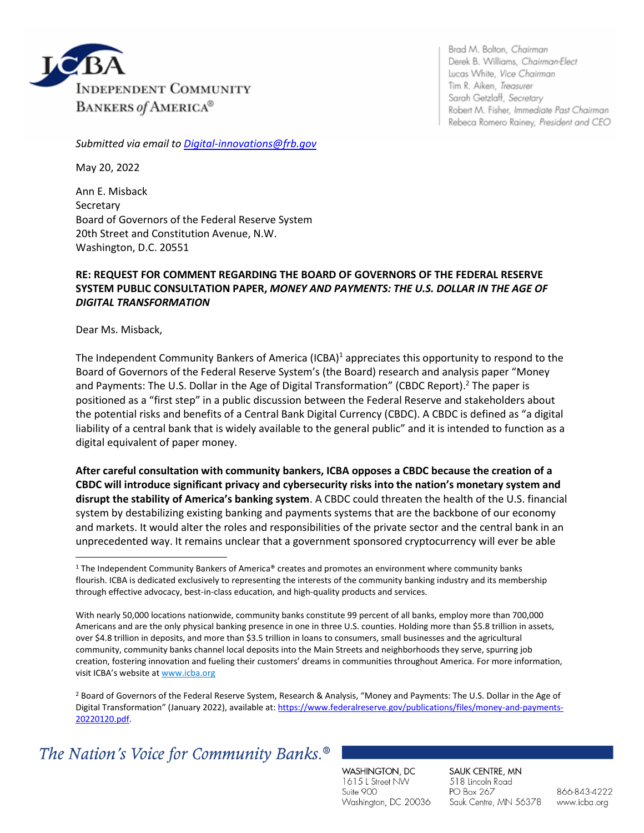

Brad M. Bolton, Chairman Derek B. Williams, Chairman-Elect Lucas White, Vice Chairman Tim R. Aiken, Treasurer Sarah Getzlaff, Secretary Robert M. Fisher, Immediate Past Chairman Rebeca Romero Rainey, President and CEO

*Submitted via email to [Digital-innovations@frb.gov](mailto:Digital-innovations@frb.gov)*

May 20, 2022

Ann E. Misback Secretary Board of Governors of the Federal Reserve System 20th Street and Constitution Avenue, N.W. Washington, D.C. 20551

## **RE: REQUEST FOR COMMENT REGARDING THE BOARD OF GOVERNORS OF THE FEDERAL RESERVE SYSTEM PUBLIC CONSULTATION PAPER,** *MONEY AND PAYMENTS: THE U.S. DOLLAR IN THE AGE OF DIGITAL TRANSFORMATION*

Dear Ms. Misback,

The Independent Community Bankers of America (ICBA)<sup>1</sup> appreciates this opportunity to respond to the Board of Governors of the Federal Reserve System's (the Board) research and analysis paper "Money and Payments: The U.S. Dollar in the Age of Digital Transformation" (CBDC Report).<sup>2</sup> The paper is positioned as a "first step" in a public discussion between the Federal Reserve and stakeholders about the potential risks and benefits of a Central Bank Digital Currency (CBDC). A CBDC is defined as "a digital liability of a central bank that is widely available to the general public" and it is intended to function as a digital equivalent of paper money.

**After careful consultation with community bankers, ICBA opposes a CBDC because the creation of a CBDC will introduce significant privacy and cybersecurity risks into the nation's monetary system and disrupt the stability of America's banking system**. A CBDC could threaten the health of the U.S. financial system by destabilizing existing banking and payments systems that are the backbone of our economy and markets. It would alter the roles and responsibilities of the private sector and the central bank in an unprecedented way. It remains unclear that a government sponsored cryptocurrency will ever be able

<sup>2</sup> Board of Governors of the Federal Reserve System, Research & Analysis, "Money and Payments: The U.S. Dollar in the Age of Digital Transformation" (January 2022), available at: [https://www.federalreserve.gov/publications/files/money-and-payments-](https://www.federalreserve.gov/publications/files/money-and-payments-20220120.pdf)[20220120.pdf.](https://www.federalreserve.gov/publications/files/money-and-payments-20220120.pdf)

# The Nation's Voice for Community Banks.<sup>®</sup>

WASHINGTON, DC 1615 L Street NW Suite 900 Washington, DC 20036 SAUK CENTRE, MN 518 Lincoln Road PO Box 267 Sauk Centre, MN 56378

<sup>&</sup>lt;sup>1</sup> The Independent Community Bankers of America® creates and promotes an environment where community banks flourish. ICBA is dedicated exclusively to representing the interests of the community banking industry and its membership through effective advocacy, best-in-class education, and high-quality products and services.

With nearly 50,000 locations nationwide, community banks constitute 99 percent of all banks, employ more than 700,000 Americans and are the only physical banking presence in one in three U.S. counties. Holding more than \$5.8 trillion in assets, over \$4.8 trillion in deposits, and more than \$3.5 trillion in loans to consumers, small businesses and the agricultural community, community banks channel local deposits into the Main Streets and neighborhoods they serve, spurring job creation, fostering innovation and fueling their customers' dreams in communities throughout America. For more information, visit ICBA's website at [www.icba.org](https://nam04.safelinks.protection.outlook.com/?url=http://www.icba.org/&data=04%7c01%7cJana.Jurukovska%40icba.org%7c5e325f56acaa4957532508d968967415%7c3747d660735d42638188bb679df6d3c0%7c0%7c0%7c637655817662479062%7cUnknown%7cTWFpbGZsb3d8eyJWIjoiMC4wLjAwMDAiLCJQIjoiV2luMzIiLCJBTiI6Ik1haWwiLCJXVCI6Mn0%3D%7c1000&sdata=8FtlC1iIJxw/utCOIvfZQ7%2BqXJRaz0RmJWx1E%2BtB4fc%3D&reserved=0)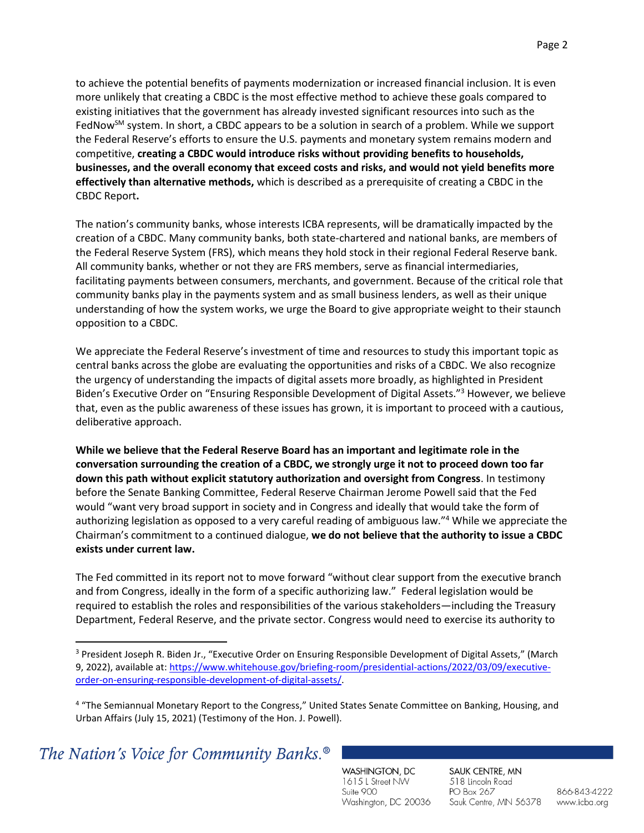to achieve the potential benefits of payments modernization or increased financial inclusion. It is even more unlikely that creating a CBDC is the most effective method to achieve these goals compared to existing initiatives that the government has already invested significant resources into such as the FedNow<sup>SM</sup> system. In short, a CBDC appears to be a solution in search of a problem. While we support the Federal Reserve's efforts to ensure the U.S. payments and monetary system remains modern and competitive, **creating a CBDC would introduce risks without providing benefits to households, businesses, and the overall economy that exceed costs and risks, and would not yield benefits more effectively than alternative methods,** which is described as a prerequisite of creating a CBDC in the CBDC Report**.** 

The nation's community banks, whose interests ICBA represents, will be dramatically impacted by the creation of a CBDC. Many community banks, both state-chartered and national banks, are members of the Federal Reserve System (FRS), which means they hold stock in their regional Federal Reserve bank. All community banks, whether or not they are FRS members, serve as financial intermediaries, facilitating payments between consumers, merchants, and government. Because of the critical role that community banks play in the payments system and as small business lenders, as well as their unique understanding of how the system works, we urge the Board to give appropriate weight to their staunch opposition to a CBDC.

We appreciate the Federal Reserve's investment of time and resources to study this important topic as central banks across the globe are evaluating the opportunities and risks of a CBDC. We also recognize the urgency of understanding the impacts of digital assets more broadly, as highlighted in President Biden's Executive Order on "Ensuring Responsible Development of Digital Assets."<sup>3</sup> However, we believe that, even as the public awareness of these issues has grown, it is important to proceed with a cautious, deliberative approach.

**While we believe that the Federal Reserve Board has an important and legitimate role in the conversation surrounding the creation of a CBDC, we strongly urge it not to proceed down too far down this path without explicit statutory authorization and oversight from Congress**. In testimony before the Senate Banking Committee, Federal Reserve Chairman Jerome Powell said that the Fed would "want very broad support in society and in Congress and ideally that would take the form of authorizing legislation as opposed to a very careful reading of ambiguous law."<sup>4</sup> While we appreciate the Chairman's commitment to a continued dialogue, **we do not believe that the authority to issue a CBDC exists under current law.**

The Fed committed in its report not to move forward "without clear support from the executive branch and from Congress, ideally in the form of a specific authorizing law." Federal legislation would be required to establish the roles and responsibilities of the various stakeholders—including the Treasury Department, Federal Reserve, and the private sector. Congress would need to exercise its authority to

WASHINGTON, DC 1615 L Street NW Suite 900 Washington, DC 20036 SAUK CENTRE, MN 518 Lincoln Road PO Box 267 Sauk Centre, MN 56378

<sup>&</sup>lt;sup>3</sup> President Joseph R. Biden Jr., "Executive Order on Ensuring Responsible Development of Digital Assets," (March 9, 2022), available at: [https://www.whitehouse.gov/briefing-room/presidential-actions/2022/03/09/executive](https://www.whitehouse.gov/briefing-room/presidential-actions/2022/03/09/executive-order-on-ensuring-responsible-development-of-digital-assets/)[order-on-ensuring-responsible-development-of-digital-assets/.](https://www.whitehouse.gov/briefing-room/presidential-actions/2022/03/09/executive-order-on-ensuring-responsible-development-of-digital-assets/)

<sup>&</sup>lt;sup>4</sup> "The Semiannual Monetary Report to the Congress," United States Senate Committee on Banking, Housing, and Urban Affairs (July 15, 2021) (Testimony of the Hon. J. Powell).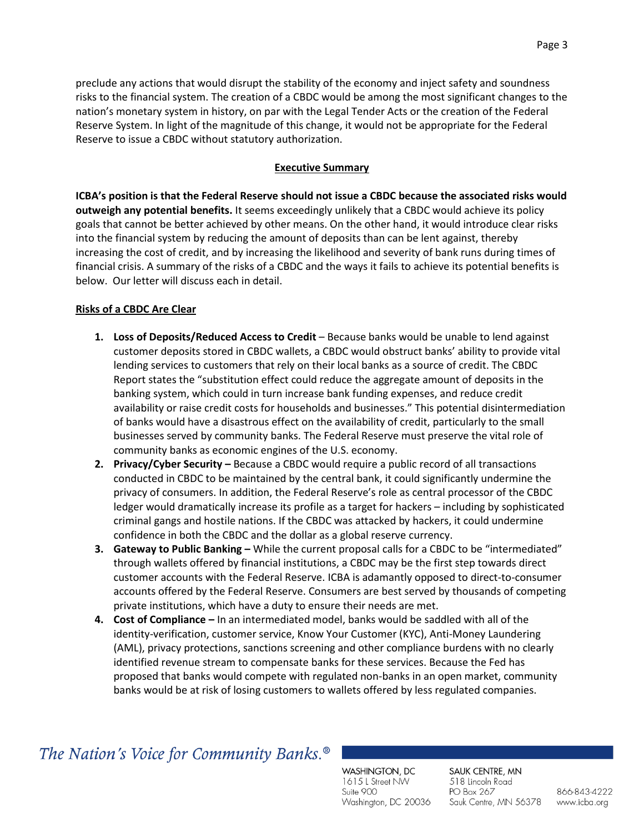preclude any actions that would disrupt the stability of the economy and inject safety and soundness risks to the financial system. The creation of a CBDC would be among the most significant changes to the nation's monetary system in history, on par with the Legal Tender Acts or the creation of the Federal Reserve System. In light of the magnitude of this change, it would not be appropriate for the Federal Reserve to issue a CBDC without statutory authorization.

## **Executive Summary**

**ICBA's position is that the Federal Reserve should not issue a CBDC because the associated risks would outweigh any potential benefits.** It seems exceedingly unlikely that a CBDC would achieve its policy goals that cannot be better achieved by other means. On the other hand, it would introduce clear risks into the financial system by reducing the amount of deposits than can be lent against, thereby increasing the cost of credit, and by increasing the likelihood and severity of bank runs during times of financial crisis. A summary of the risks of a CBDC and the ways it fails to achieve its potential benefits is below. Our letter will discuss each in detail.

### **Risks of a CBDC Are Clear**

- **1. Loss of Deposits/Reduced Access to Credit**  Because banks would be unable to lend against customer deposits stored in CBDC wallets, a CBDC would obstruct banks' ability to provide vital lending services to customers that rely on their local banks as a source of credit. The CBDC Report states the "substitution effect could reduce the aggregate amount of deposits in the banking system, which could in turn increase bank funding expenses, and reduce credit availability or raise credit costs for households and businesses." This potential disintermediation of banks would have a disastrous effect on the availability of credit, particularly to the small businesses served by community banks. The Federal Reserve must preserve the vital role of community banks as economic engines of the U.S. economy.
- **2. Privacy/Cyber Security** Because a CBDC would require a public record of all transactions conducted in CBDC to be maintained by the central bank, it could significantly undermine the privacy of consumers. In addition, the Federal Reserve's role as central processor of the CBDC ledger would dramatically increase its profile as a target for hackers – including by sophisticated criminal gangs and hostile nations. If the CBDC was attacked by hackers, it could undermine confidence in both the CBDC and the dollar as a global reserve currency.
- **3. Gateway to Public Banking –** While the current proposal calls for a CBDC to be "intermediated" through wallets offered by financial institutions, a CBDC may be the first step towards direct customer accounts with the Federal Reserve. ICBA is adamantly opposed to direct-to-consumer accounts offered by the Federal Reserve. Consumers are best served by thousands of competing private institutions, which have a duty to ensure their needs are met.
- **4. Cost of Compliance –** In an intermediated model, banks would be saddled with all of the identity-verification, customer service, Know Your Customer (KYC), Anti-Money Laundering (AML), privacy protections, sanctions screening and other compliance burdens with no clearly identified revenue stream to compensate banks for these services. Because the Fed has proposed that banks would compete with regulated non-banks in an open market, community banks would be at risk of losing customers to wallets offered by less regulated companies.

## The Nation's Voice for Community Banks.<sup>®</sup>

WASHINGTON, DC 1615 L Street NW Suite 900 Washington, DC 20036 SAUK CENTRE, MN 518 Lincoln Road PO Box 267 Sauk Centre, MN 56378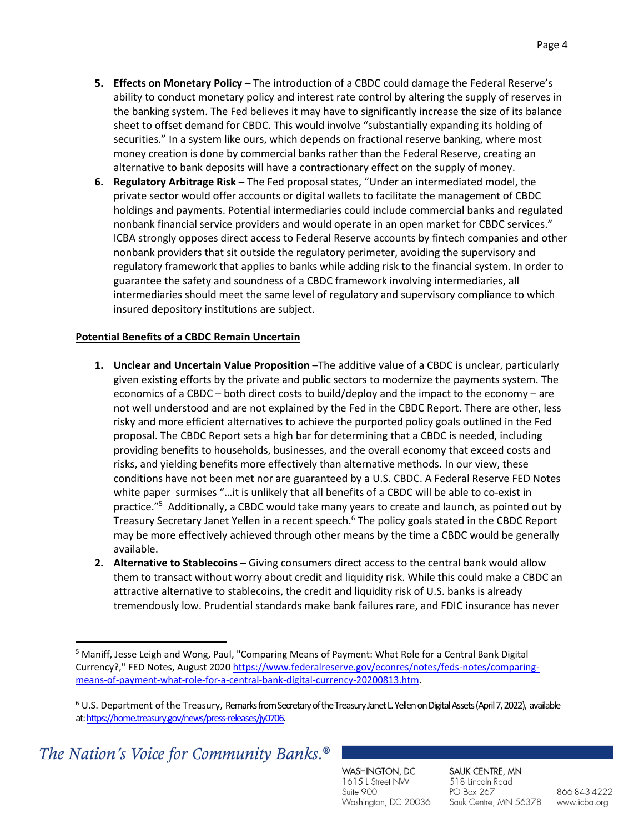- **5. Effects on Monetary Policy –** The introduction of a CBDC could damage the Federal Reserve's ability to conduct monetary policy and interest rate control by altering the supply of reserves in the banking system. The Fed believes it may have to significantly increase the size of its balance sheet to offset demand for CBDC. This would involve "substantially expanding its holding of securities." In a system like ours, which depends on fractional reserve banking, where most money creation is done by commercial banks rather than the Federal Reserve, creating an alternative to bank deposits will have a contractionary effect on the supply of money.
- **6. Regulatory Arbitrage Risk –** The Fed proposal states, "Under an intermediated model, the private sector would offer accounts or digital wallets to facilitate the management of CBDC holdings and payments. Potential intermediaries could include commercial banks and regulated nonbank financial service providers and would operate in an open market for CBDC services." ICBA strongly opposes direct access to Federal Reserve accounts by fintech companies and other nonbank providers that sit outside the regulatory perimeter, avoiding the supervisory and regulatory framework that applies to banks while adding risk to the financial system. In order to guarantee the safety and soundness of a CBDC framework involving intermediaries, all intermediaries should meet the same level of regulatory and supervisory compliance to which insured depository institutions are subject.

#### **Potential Benefits of a CBDC Remain Uncertain**

- **1. Unclear and Uncertain Value Proposition –**The additive value of a CBDC is unclear, particularly given existing efforts by the private and public sectors to modernize the payments system. The economics of a CBDC – both direct costs to build/deploy and the impact to the economy – are not well understood and are not explained by the Fed in the CBDC Report. There are other, less risky and more efficient alternatives to achieve the purported policy goals outlined in the Fed proposal. The CBDC Report sets a high bar for determining that a CBDC is needed, including providing benefits to households, businesses, and the overall economy that exceed costs and risks, and yielding benefits more effectively than alternative methods. In our view, these conditions have not been met nor are guaranteed by a U.S. CBDC. A Federal Reserve FED Notes white paper surmises "…it is unlikely that all benefits of a CBDC will be able to co-exist in practice."<sup>5</sup> Additionally, a CBDC would take many years to create and launch, as pointed out by Treasury Secretary Janet Yellen in a recent speech.<sup>6</sup> The policy goals stated in the CBDC Report may be more effectively achieved through other means by the time a CBDC would be generally available.
- **2. Alternative to Stablecoins –** Giving consumers direct access to the central bank would allow them to transact without worry about credit and liquidity risk. While this could make a CBDC an attractive alternative to stablecoins, the credit and liquidity risk of U.S. banks is already tremendously low. Prudential standards make bank failures rare, and FDIC insurance has never

WASHINGTON, DC 1615 L Street NW Suite 900 Washington, DC 20036 SAUK CENTRE, MN 518 Lincoln Road PO Box 267 Sauk Centre, MN 56378

<sup>5</sup> Maniff, Jesse Leigh and Wong, Paul, "Comparing Means of Payment: What Role for a Central Bank Digital Currency?," FED Notes, August 202[0 https://www.federalreserve.gov/econres/notes/feds-notes/comparing](https://www.federalreserve.gov/econres/notes/feds-notes/comparing-means-of-payment-what-role-for-a-central-bank-digital-currency-20200813.htm)[means-of-payment-what-role-for-a-central-bank-digital-currency-20200813.htm.](https://www.federalreserve.gov/econres/notes/feds-notes/comparing-means-of-payment-what-role-for-a-central-bank-digital-currency-20200813.htm)

<sup>6</sup> U.S. Department of the Treasury, Remarks from Secretary of the Treasury Janet L. Yellen on Digital Assets (April 7, 2022), available at[: https://home.treasury.gov/news/press-releases/jy0706.](https://home.treasury.gov/news/press-releases/jy0706)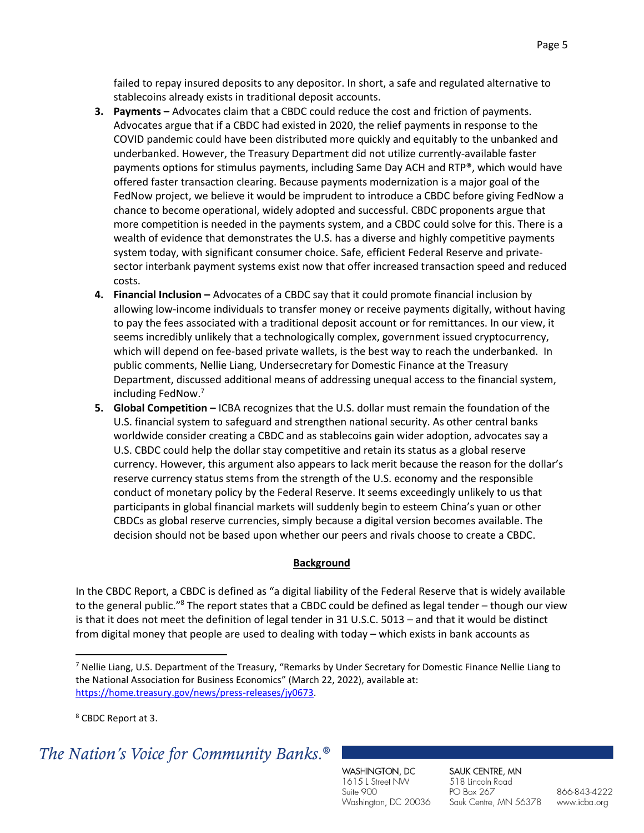failed to repay insured deposits to any depositor. In short, a safe and regulated alternative to stablecoins already exists in traditional deposit accounts.

- **3. Payments –** Advocates claim that a CBDC could reduce the cost and friction of payments. Advocates argue that if a CBDC had existed in 2020, the relief payments in response to the COVID pandemic could have been distributed more quickly and equitably to the unbanked and underbanked. However, the Treasury Department did not utilize currently-available faster payments options for stimulus payments, including Same Day ACH and RTP®, which would have offered faster transaction clearing. Because payments modernization is a major goal of the FedNow project, we believe it would be imprudent to introduce a CBDC before giving FedNow a chance to become operational, widely adopted and successful. CBDC proponents argue that more competition is needed in the payments system, and a CBDC could solve for this. There is a wealth of evidence that demonstrates the U.S. has a diverse and highly competitive payments system today, with significant consumer choice. Safe, efficient Federal Reserve and privatesector interbank payment systems exist now that offer increased transaction speed and reduced costs.
- **4. Financial Inclusion –** Advocates of a CBDC say that it could promote financial inclusion by allowing low-income individuals to transfer money or receive payments digitally, without having to pay the fees associated with a traditional deposit account or for remittances. In our view, it seems incredibly unlikely that a technologically complex, government issued cryptocurrency, which will depend on fee-based private wallets, is the best way to reach the underbanked. In public comments, Nellie Liang, Undersecretary for Domestic Finance at the Treasury Department, discussed additional means of addressing unequal access to the financial system, including FedNow.<sup>7</sup>
- **5. Global Competition** ICBA recognizes that the U.S. dollar must remain the foundation of the U.S. financial system to safeguard and strengthen national security. As other central banks worldwide consider creating a CBDC and as stablecoins gain wider adoption, advocates say a U.S. CBDC could help the dollar stay competitive and retain its status as a global reserve currency. However, this argument also appears to lack merit because the reason for the dollar's reserve currency status stems from the strength of the U.S. economy and the responsible conduct of monetary policy by the Federal Reserve. It seems exceedingly unlikely to us that participants in global financial markets will suddenly begin to esteem China's yuan or other CBDCs as global reserve currencies, simply because a digital version becomes available. The decision should not be based upon whether our peers and rivals choose to create a CBDC.

#### **Background**

In the CBDC Report, a CBDC is defined as "a digital liability of the Federal Reserve that is widely available to the general public."<sup>8</sup> The report states that a CBDC could be defined as legal tender – though our view is that it does not meet the definition of legal tender in 31 U.S.C. 5013 – and that it would be distinct from digital money that people are used to dealing with today – which exists in bank accounts as

<sup>8</sup> CBDC Report at 3.

## The Nation's Voice for Community Banks.<sup>®</sup>

WASHINGTON, DC 1615 L Street NW Suite 900 Washington, DC 20036 SAUK CENTRE, MN 518 Lincoln Road PO Box 267 Sauk Centre, MN 56378

<sup>7</sup> Nellie Liang, U.S. Department of the Treasury, "Remarks by Under Secretary for Domestic Finance Nellie Liang to the National Association for Business Economics" (March 22, 2022), available at: [https://home.treasury.gov/news/press-releases/jy0673.](https://home.treasury.gov/news/press-releases/jy0673)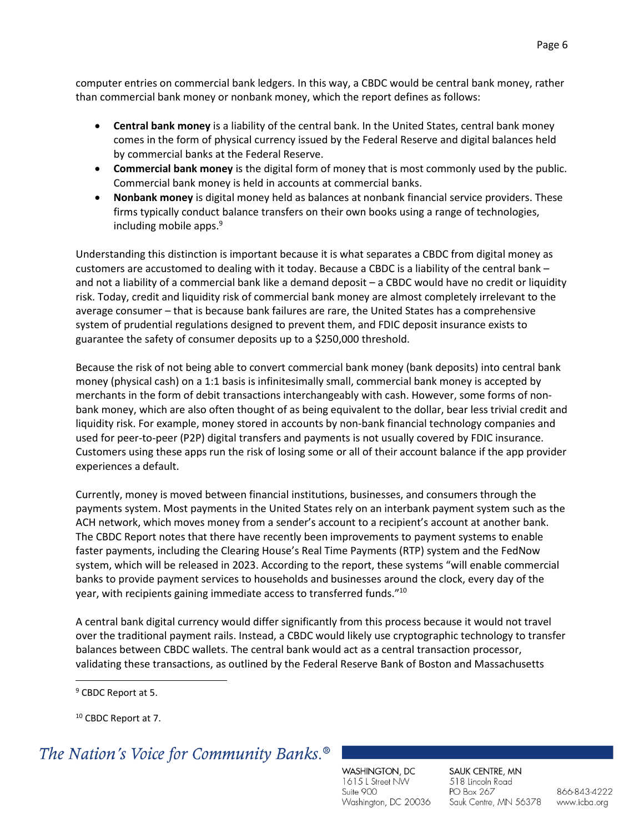- **Central bank money** is a liability of the central bank. In the United States, central bank money comes in the form of physical currency issued by the Federal Reserve and digital balances held by commercial banks at the Federal Reserve.
- **Commercial bank money** is the digital form of money that is most commonly used by the public. Commercial bank money is held in accounts at commercial banks.
- **Nonbank money** is digital money held as balances at nonbank financial service providers. These firms typically conduct balance transfers on their own books using a range of technologies, including mobile apps. $9$

Understanding this distinction is important because it is what separates a CBDC from digital money as customers are accustomed to dealing with it today. Because a CBDC is a liability of the central bank – and not a liability of a commercial bank like a demand deposit - a CBDC would have no credit or liquidity risk. Today, credit and liquidity risk of commercial bank money are almost completely irrelevant to the average consumer – that is because bank failures are rare, the United States has a comprehensive system of prudential regulations designed to prevent them, and FDIC deposit insurance exists to guarantee the safety of consumer deposits up to a \$250,000 threshold.

Because the risk of not being able to convert commercial bank money (bank deposits) into central bank money (physical cash) on a 1:1 basis is infinitesimally small, commercial bank money is accepted by merchants in the form of debit transactions interchangeably with cash. However, some forms of nonbank money, which are also often thought of as being equivalent to the dollar, bear less trivial credit and liquidity risk. For example, money stored in accounts by non-bank financial technology companies and used for peer-to-peer (P2P) digital transfers and payments is not usually covered by FDIC insurance. Customers using these apps run the risk of losing some or all of their account balance if the app provider experiences a default.

Currently, money is moved between financial institutions, businesses, and consumers through the payments system. Most payments in the United States rely on an interbank payment system such as the ACH network, which moves money from a sender's account to a recipient's account at another bank. The CBDC Report notes that there have recently been improvements to payment systems to enable faster payments, including the Clearing House's Real Time Payments (RTP) system and the FedNow system, which will be released in 2023. According to the report, these systems "will enable commercial banks to provide payment services to households and businesses around the clock, every day of the year, with recipients gaining immediate access to transferred funds."<sup>10</sup>

A central bank digital currency would differ significantly from this process because it would not travel over the traditional payment rails. Instead, a CBDC would likely use cryptographic technology to transfer balances between CBDC wallets. The central bank would act as a central transaction processor, validating these transactions, as outlined by the Federal Reserve Bank of Boston and Massachusetts

<sup>10</sup> CBDC Report at 7.

# The Nation's Voice for Community Banks.<sup>®</sup>

WASHINGTON, DC 1615 L Street NW Suite 900 Washington, DC 20036 SAUK CENTRE, MN 518 Lincoln Road PO Box 267 Sauk Centre, MN 56378

<sup>9</sup> CBDC Report at 5.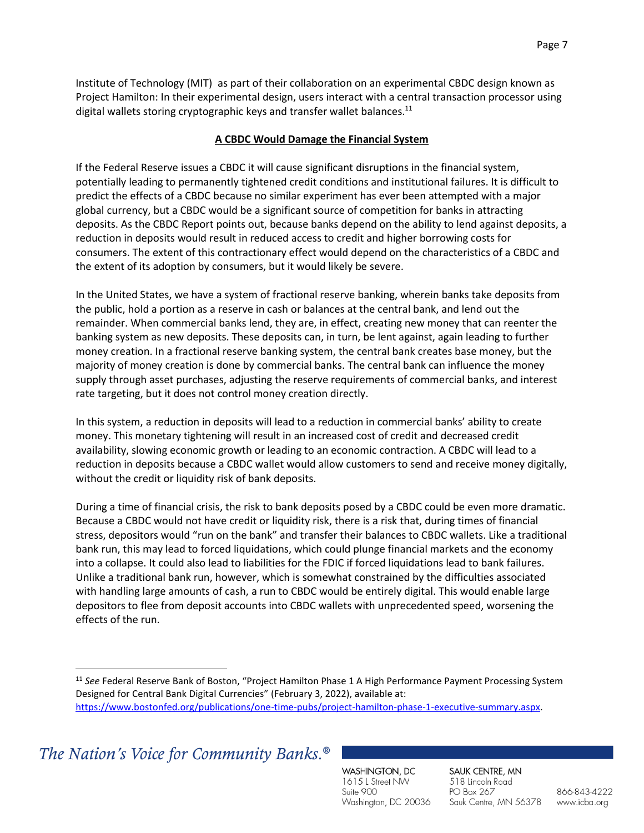Institute of Technology (MIT) as part of their collaboration on an experimental CBDC design known as Project Hamilton: In their experimental design, users interact with a central transaction processor using digital wallets storing cryptographic keys and transfer wallet balances.<sup>11</sup>

### **A CBDC Would Damage the Financial System**

If the Federal Reserve issues a CBDC it will cause significant disruptions in the financial system, potentially leading to permanently tightened credit conditions and institutional failures. It is difficult to predict the effects of a CBDC because no similar experiment has ever been attempted with a major global currency, but a CBDC would be a significant source of competition for banks in attracting deposits. As the CBDC Report points out, because banks depend on the ability to lend against deposits, a reduction in deposits would result in reduced access to credit and higher borrowing costs for consumers. The extent of this contractionary effect would depend on the characteristics of a CBDC and the extent of its adoption by consumers, but it would likely be severe.

In the United States, we have a system of fractional reserve banking, wherein banks take deposits from the public, hold a portion as a reserve in cash or balances at the central bank, and lend out the remainder. When commercial banks lend, they are, in effect, creating new money that can reenter the banking system as new deposits. These deposits can, in turn, be lent against, again leading to further money creation. In a fractional reserve banking system, the central bank creates base money, but the majority of money creation is done by commercial banks. The central bank can influence the money supply through asset purchases, adjusting the reserve requirements of commercial banks, and interest rate targeting, but it does not control money creation directly.

In this system, a reduction in deposits will lead to a reduction in commercial banks' ability to create money. This monetary tightening will result in an increased cost of credit and decreased credit availability, slowing economic growth or leading to an economic contraction. A CBDC will lead to a reduction in deposits because a CBDC wallet would allow customers to send and receive money digitally, without the credit or liquidity risk of bank deposits.

During a time of financial crisis, the risk to bank deposits posed by a CBDC could be even more dramatic. Because a CBDC would not have credit or liquidity risk, there is a risk that, during times of financial stress, depositors would "run on the bank" and transfer their balances to CBDC wallets. Like a traditional bank run, this may lead to forced liquidations, which could plunge financial markets and the economy into a collapse. It could also lead to liabilities for the FDIC if forced liquidations lead to bank failures. Unlike a traditional bank run, however, which is somewhat constrained by the difficulties associated with handling large amounts of cash, a run to CBDC would be entirely digital. This would enable large depositors to flee from deposit accounts into CBDC wallets with unprecedented speed, worsening the effects of the run.

The Nation's Voice for Community Banks.<sup>®</sup>

WASHINGTON, DC 1615 L Street NW Suite 900 Washington, DC 20036 SAUK CENTRE, MN 518 Lincoln Road PO Box 267 Sauk Centre, MN 56378

<sup>&</sup>lt;sup>11</sup> See Federal Reserve Bank of Boston, "Project Hamilton Phase 1 A High Performance Payment Processing System Designed for Central Bank Digital Currencies" (February 3, 2022), available at: [https://www.bostonfed.org/publications/one-time-pubs/project-hamilton-phase-1-executive-summary.aspx.](https://www.bostonfed.org/publications/one-time-pubs/project-hamilton-phase-1-executive-summary.aspx)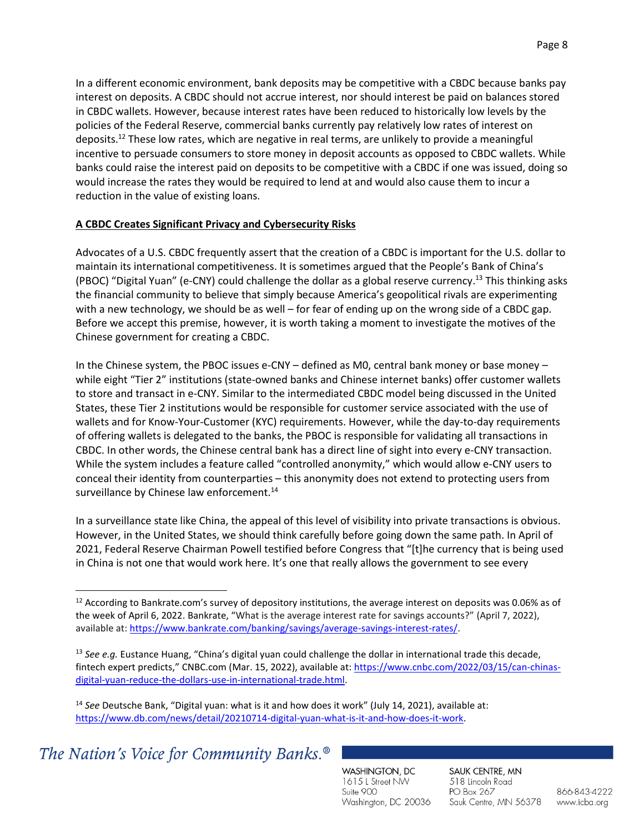In a different economic environment, bank deposits may be competitive with a CBDC because banks pay interest on deposits. A CBDC should not accrue interest, nor should interest be paid on balances stored in CBDC wallets. However, because interest rates have been reduced to historically low levels by the policies of the Federal Reserve, commercial banks currently pay relatively low rates of interest on deposits.<sup>12</sup> These low rates, which are negative in real terms, are unlikely to provide a meaningful incentive to persuade consumers to store money in deposit accounts as opposed to CBDC wallets. While banks could raise the interest paid on deposits to be competitive with a CBDC if one was issued, doing so would increase the rates they would be required to lend at and would also cause them to incur a reduction in the value of existing loans.

### **A CBDC Creates Significant Privacy and Cybersecurity Risks**

Advocates of a U.S. CBDC frequently assert that the creation of a CBDC is important for the U.S. dollar to maintain its international competitiveness. It is sometimes argued that the People's Bank of China's (PBOC) "Digital Yuan" (e-CNY) could challenge the dollar as a global reserve currency.<sup>13</sup> This thinking asks the financial community to believe that simply because America's geopolitical rivals are experimenting with a new technology, we should be as well – for fear of ending up on the wrong side of a CBDC gap. Before we accept this premise, however, it is worth taking a moment to investigate the motives of the Chinese government for creating a CBDC.

In the Chinese system, the PBOC issues e-CNY – defined as M0, central bank money or base money – while eight "Tier 2" institutions (state-owned banks and Chinese internet banks) offer customer wallets to store and transact in e-CNY. Similar to the intermediated CBDC model being discussed in the United States, these Tier 2 institutions would be responsible for customer service associated with the use of wallets and for Know-Your-Customer (KYC) requirements. However, while the day-to-day requirements of offering wallets is delegated to the banks, the PBOC is responsible for validating all transactions in CBDC. In other words, the Chinese central bank has a direct line of sight into every e-CNY transaction. While the system includes a feature called "controlled anonymity," which would allow e-CNY users to conceal their identity from counterparties – this anonymity does not extend to protecting users from surveillance by Chinese law enforcement.<sup>14</sup>

In a surveillance state like China, the appeal of this level of visibility into private transactions is obvious. However, in the United States, we should think carefully before going down the same path. In April of 2021, Federal Reserve Chairman Powell testified before Congress that "[t]he currency that is being used in China is not one that would work here. It's one that really allows the government to see every

<sup>14</sup> *See* Deutsche Bank, "Digital yuan: what is it and how does it work" (July 14, 2021), available at: [https://www.db.com/news/detail/20210714-digital-yuan-what-is-it-and-how-does-it-work.](https://www.db.com/news/detail/20210714-digital-yuan-what-is-it-and-how-does-it-work)

The Nation's Voice for Community Banks.<sup>®</sup>

WASHINGTON, DC 1615 L Street NW Suite 900 Washington, DC 20036 SAUK CENTRE, MN 518 Lincoln Road PO Box 267 Sauk Centre, MN 56378

<sup>&</sup>lt;sup>12</sup> According to Bankrate.com's survey of depository institutions, the average interest on deposits was 0.06% as of the week of April 6, 2022. Bankrate, "What is the average interest rate for savings accounts?" (April 7, 2022), available at[: https://www.bankrate.com/banking/savings/average-savings-interest-rates/.](https://www.bankrate.com/banking/savings/average-savings-interest-rates/)

<sup>&</sup>lt;sup>13</sup> See e.g. Eustance Huang, "China's digital yuan could challenge the dollar in international trade this decade, fintech expert predicts," CNBC.com (Mar. 15, 2022), available at: [https://www.cnbc.com/2022/03/15/can-chinas](https://www.cnbc.com/2022/03/15/can-chinas-digital-yuan-reduce-the-dollars-use-in-international-trade.html)[digital-yuan-reduce-the-dollars-use-in-international-trade.html.](https://www.cnbc.com/2022/03/15/can-chinas-digital-yuan-reduce-the-dollars-use-in-international-trade.html)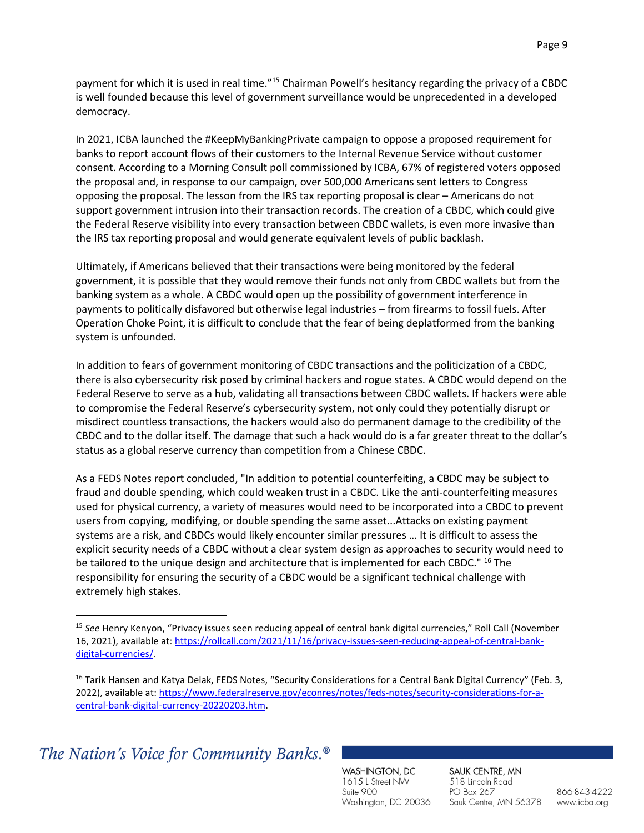payment for which it is used in real time."<sup>15</sup> Chairman Powell's hesitancy regarding the privacy of a CBDC is well founded because this level of government surveillance would be unprecedented in a developed democracy.

In 2021, ICBA launched the #KeepMyBankingPrivate campaign to oppose a proposed requirement for banks to report account flows of their customers to the Internal Revenue Service without customer consent. According to a Morning Consult poll commissioned by ICBA, 67% of registered voters opposed the proposal and, in response to our campaign, over 500,000 Americans sent letters to Congress opposing the proposal. The lesson from the IRS tax reporting proposal is clear – Americans do not support government intrusion into their transaction records. The creation of a CBDC, which could give the Federal Reserve visibility into every transaction between CBDC wallets, is even more invasive than the IRS tax reporting proposal and would generate equivalent levels of public backlash.

Ultimately, if Americans believed that their transactions were being monitored by the federal government, it is possible that they would remove their funds not only from CBDC wallets but from the banking system as a whole. A CBDC would open up the possibility of government interference in payments to politically disfavored but otherwise legal industries – from firearms to fossil fuels. After Operation Choke Point, it is difficult to conclude that the fear of being deplatformed from the banking system is unfounded.

In addition to fears of government monitoring of CBDC transactions and the politicization of a CBDC, there is also cybersecurity risk posed by criminal hackers and rogue states. A CBDC would depend on the Federal Reserve to serve as a hub, validating all transactions between CBDC wallets. If hackers were able to compromise the Federal Reserve's cybersecurity system, not only could they potentially disrupt or misdirect countless transactions, the hackers would also do permanent damage to the credibility of the CBDC and to the dollar itself. The damage that such a hack would do is a far greater threat to the dollar's status as a global reserve currency than competition from a Chinese CBDC.

As a FEDS Notes report concluded, "In addition to potential counterfeiting, a CBDC may be subject to fraud and double spending, which could weaken trust in a CBDC. Like the anti-counterfeiting measures used for physical currency, a variety of measures would need to be incorporated into a CBDC to prevent users from copying, modifying, or double spending the same asset...Attacks on existing payment systems are a risk, and CBDCs would likely encounter similar pressures … It is difficult to assess the explicit security needs of a CBDC without a clear system design as approaches to security would need to be tailored to the unique design and architecture that is implemented for each CBDC." <sup>16</sup> The responsibility for ensuring the security of a CBDC would be a significant technical challenge with extremely high stakes.

The Nation's Voice for Community Banks.<sup>®</sup>

WASHINGTON, DC 1615 L Street NW Suite 900 Washington, DC 20036 SAUK CENTRE, MN 518 Lincoln Road PO Box 267 Sauk Centre, MN 56378

<sup>15</sup> *See* Henry Kenyon, "Privacy issues seen reducing appeal of central bank digital currencies," Roll Call (November 16, 2021), available at: [https://rollcall.com/2021/11/16/privacy-issues-seen-reducing-appeal-of-central-bank](https://rollcall.com/2021/11/16/privacy-issues-seen-reducing-appeal-of-central-bank-digital-currencies/)[digital-currencies/.](https://rollcall.com/2021/11/16/privacy-issues-seen-reducing-appeal-of-central-bank-digital-currencies/)

<sup>&</sup>lt;sup>16</sup> Tarik Hansen and Katya Delak, FEDS Notes, "Security Considerations for a Central Bank Digital Currency" (Feb. 3, 2022), available at[: https://www.federalreserve.gov/econres/notes/feds-notes/security-considerations-for-a](https://www.federalreserve.gov/econres/notes/feds-notes/security-considerations-for-a-central-bank-digital-currency-20220203.htm)[central-bank-digital-currency-20220203.htm.](https://www.federalreserve.gov/econres/notes/feds-notes/security-considerations-for-a-central-bank-digital-currency-20220203.htm)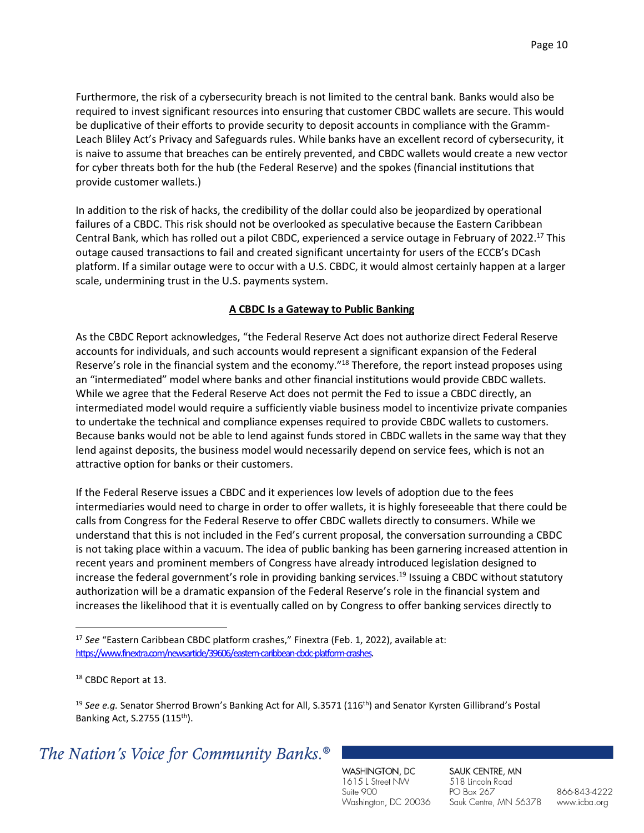Furthermore, the risk of a cybersecurity breach is not limited to the central bank. Banks would also be required to invest significant resources into ensuring that customer CBDC wallets are secure. This would be duplicative of their efforts to provide security to deposit accounts in compliance with the Gramm-Leach Bliley Act's Privacy and Safeguards rules. While banks have an excellent record of cybersecurity, it is naive to assume that breaches can be entirely prevented, and CBDC wallets would create a new vector for cyber threats both for the hub (the Federal Reserve) and the spokes (financial institutions that provide customer wallets.)

In addition to the risk of hacks, the credibility of the dollar could also be jeopardized by operational failures of a CBDC. This risk should not be overlooked as speculative because the Eastern Caribbean Central Bank, which has rolled out a pilot CBDC, experienced a service outage in February of 2022.<sup>17</sup> This outage caused transactions to fail and created significant uncertainty for users of the ECCB's DCash platform. If a similar outage were to occur with a U.S. CBDC, it would almost certainly happen at a larger scale, undermining trust in the U.S. payments system.

### **A CBDC Is a Gateway to Public Banking**

As the CBDC Report acknowledges, "the Federal Reserve Act does not authorize direct Federal Reserve accounts for individuals, and such accounts would represent a significant expansion of the Federal Reserve's role in the financial system and the economy."<sup>18</sup> Therefore, the report instead proposes using an "intermediated" model where banks and other financial institutions would provide CBDC wallets. While we agree that the Federal Reserve Act does not permit the Fed to issue a CBDC directly, an intermediated model would require a sufficiently viable business model to incentivize private companies to undertake the technical and compliance expenses required to provide CBDC wallets to customers. Because banks would not be able to lend against funds stored in CBDC wallets in the same way that they lend against deposits, the business model would necessarily depend on service fees, which is not an attractive option for banks or their customers.

If the Federal Reserve issues a CBDC and it experiences low levels of adoption due to the fees intermediaries would need to charge in order to offer wallets, it is highly foreseeable that there could be calls from Congress for the Federal Reserve to offer CBDC wallets directly to consumers. While we understand that this is not included in the Fed's current proposal, the conversation surrounding a CBDC is not taking place within a vacuum. The idea of public banking has been garnering increased attention in recent years and prominent members of Congress have already introduced legislation designed to increase the federal government's role in providing banking services. <sup>19</sup> Issuing a CBDC without statutory authorization will be a dramatic expansion of the Federal Reserve's role in the financial system and increases the likelihood that it is eventually called on by Congress to offer banking services directly to

<sup>19</sup> See e.g. Senator Sherrod Brown's Banking Act for All, S.3571 (116<sup>th</sup>) and Senator Kyrsten Gillibrand's Postal Banking Act, S.2755 (115th).

## The Nation's Voice for Community Banks.<sup>®</sup>

WASHINGTON, DC 1615 L Street NW Suite 900 Washington, DC 20036 SAUK CENTRE, MN 518 Lincoln Road PO Box 267 Sauk Centre, MN 56378

<sup>&</sup>lt;sup>17</sup> See "Eastern Caribbean CBDC platform crashes," Finextra (Feb. 1, 2022), available at: [https://www.finextra.com/newsarticle/39606/eastern-caribbean-cbdc-platform-crashes.](https://www.finextra.com/newsarticle/39606/eastern-caribbean-cbdc-platform-crashes)

<sup>18</sup> CBDC Report at 13.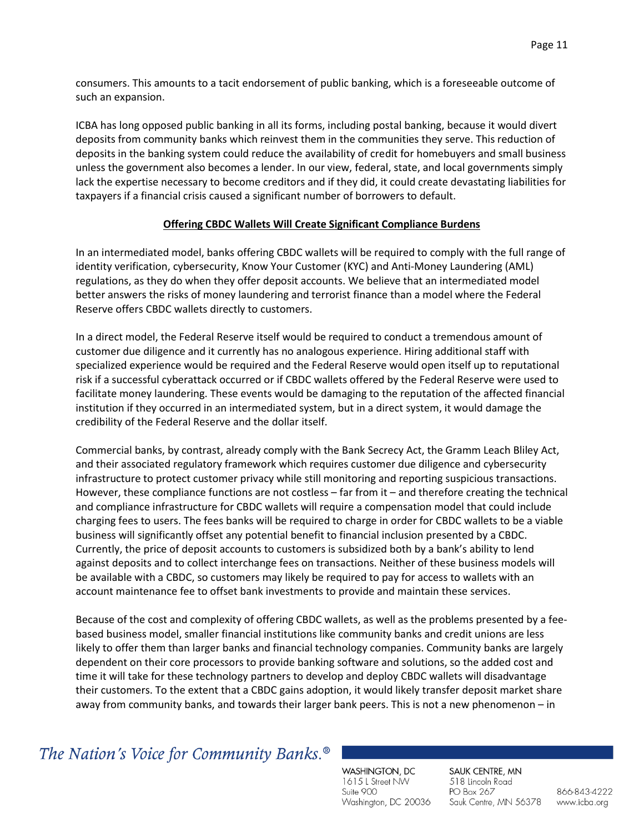consumers. This amounts to a tacit endorsement of public banking, which is a foreseeable outcome of such an expansion.

ICBA has long opposed public banking in all its forms, including postal banking, because it would divert deposits from community banks which reinvest them in the communities they serve. This reduction of deposits in the banking system could reduce the availability of credit for homebuyers and small business unless the government also becomes a lender. In our view, federal, state, and local governments simply lack the expertise necessary to become creditors and if they did, it could create devastating liabilities for taxpayers if a financial crisis caused a significant number of borrowers to default.

#### **Offering CBDC Wallets Will Create Significant Compliance Burdens**

In an intermediated model, banks offering CBDC wallets will be required to comply with the full range of identity verification, cybersecurity, Know Your Customer (KYC) and Anti-Money Laundering (AML) regulations, as they do when they offer deposit accounts. We believe that an intermediated model better answers the risks of money laundering and terrorist finance than a model where the Federal Reserve offers CBDC wallets directly to customers.

In a direct model, the Federal Reserve itself would be required to conduct a tremendous amount of customer due diligence and it currently has no analogous experience. Hiring additional staff with specialized experience would be required and the Federal Reserve would open itself up to reputational risk if a successful cyberattack occurred or if CBDC wallets offered by the Federal Reserve were used to facilitate money laundering. These events would be damaging to the reputation of the affected financial institution if they occurred in an intermediated system, but in a direct system, it would damage the credibility of the Federal Reserve and the dollar itself.

Commercial banks, by contrast, already comply with the Bank Secrecy Act, the Gramm Leach Bliley Act, and their associated regulatory framework which requires customer due diligence and cybersecurity infrastructure to protect customer privacy while still monitoring and reporting suspicious transactions. However, these compliance functions are not costless – far from it – and therefore creating the technical and compliance infrastructure for CBDC wallets will require a compensation model that could include charging fees to users. The fees banks will be required to charge in order for CBDC wallets to be a viable business will significantly offset any potential benefit to financial inclusion presented by a CBDC. Currently, the price of deposit accounts to customers is subsidized both by a bank's ability to lend against deposits and to collect interchange fees on transactions. Neither of these business models will be available with a CBDC, so customers may likely be required to pay for access to wallets with an account maintenance fee to offset bank investments to provide and maintain these services.

Because of the cost and complexity of offering CBDC wallets, as well as the problems presented by a feebased business model, smaller financial institutions like community banks and credit unions are less likely to offer them than larger banks and financial technology companies. Community banks are largely dependent on their core processors to provide banking software and solutions, so the added cost and time it will take for these technology partners to develop and deploy CBDC wallets will disadvantage their customers. To the extent that a CBDC gains adoption, it would likely transfer deposit market share away from community banks, and towards their larger bank peers. This is not a new phenomenon – in

## The Nation's Voice for Community Banks.<sup>®</sup>

WASHINGTON, DC 1615 L Street NW Suite 900 Washington, DC 20036 SAUK CENTRE, MN 518 Lincoln Road PO Box 267 Sauk Centre, MN 56378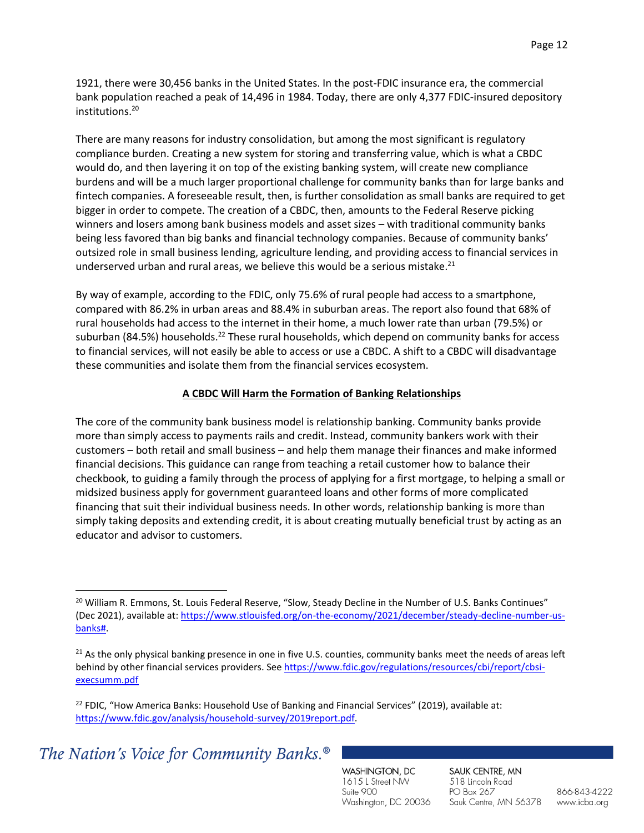1921, there were 30,456 banks in the United States. In the post-FDIC insurance era, the commercial bank population reached a peak of 14,496 in 1984. Today, there are only 4,377 FDIC-insured depository institutions.<sup>20</sup>

There are many reasons for industry consolidation, but among the most significant is regulatory compliance burden. Creating a new system for storing and transferring value, which is what a CBDC would do, and then layering it on top of the existing banking system, will create new compliance burdens and will be a much larger proportional challenge for community banks than for large banks and fintech companies. A foreseeable result, then, is further consolidation as small banks are required to get bigger in order to compete. The creation of a CBDC, then, amounts to the Federal Reserve picking winners and losers among bank business models and asset sizes – with traditional community banks being less favored than big banks and financial technology companies. Because of community banks' outsized role in small business lending, agriculture lending, and providing access to financial services in underserved urban and rural areas, we believe this would be a serious mistake.<sup>21</sup>

By way of example, according to the FDIC, only 75.6% of rural people had access to a smartphone, compared with 86.2% in urban areas and 88.4% in suburban areas. The report also found that 68% of rural households had access to the internet in their home, a much lower rate than urban (79.5%) or suburban (84.5%) households.<sup>22</sup> These rural households, which depend on community banks for access to financial services, will not easily be able to access or use a CBDC. A shift to a CBDC will disadvantage these communities and isolate them from the financial services ecosystem.

### **A CBDC Will Harm the Formation of Banking Relationships**

The core of the community bank business model is relationship banking. Community banks provide more than simply access to payments rails and credit. Instead, community bankers work with their customers – both retail and small business – and help them manage their finances and make informed financial decisions. This guidance can range from teaching a retail customer how to balance their checkbook, to guiding a family through the process of applying for a first mortgage, to helping a small or midsized business apply for government guaranteed loans and other forms of more complicated financing that suit their individual business needs. In other words, relationship banking is more than simply taking deposits and extending credit, it is about creating mutually beneficial trust by acting as an educator and advisor to customers.

 $22$  FDIC, "How America Banks: Household Use of Banking and Financial Services" (2019), available at: [https://www.fdic.gov/analysis/household-survey/2019report.pdf.](https://www.fdic.gov/analysis/household-survey/2019report.pdf) 

The Nation's Voice for Community Banks.<sup>®</sup>

WASHINGTON, DC 1615 L Street NW Suite 900 Washington, DC 20036 SAUK CENTRE, MN 518 Lincoln Road PO Box 267 Sauk Centre, MN 56378

<sup>&</sup>lt;sup>20</sup> William R. Emmons, St. Louis Federal Reserve, "Slow, Steady Decline in the Number of U.S. Banks Continues" (Dec 2021), available at: [https://www.stlouisfed.org/on-the-economy/2021/december/steady-decline-number-us](https://www.stlouisfed.org/on-the-economy/2021/december/steady-decline-number-us-banks)[banks#.](https://www.stlouisfed.org/on-the-economy/2021/december/steady-decline-number-us-banks)

<sup>&</sup>lt;sup>21</sup> As the only physical banking presence in one in five U.S. counties, community banks meet the needs of areas left behind by other financial services providers. Se[e https://www.fdic.gov/regulations/resources/cbi/report/cbsi](https://www.fdic.gov/regulations/resources/cbi/report/cbsi-execsumm.pdf)[execsumm.pdf](https://www.fdic.gov/regulations/resources/cbi/report/cbsi-execsumm.pdf)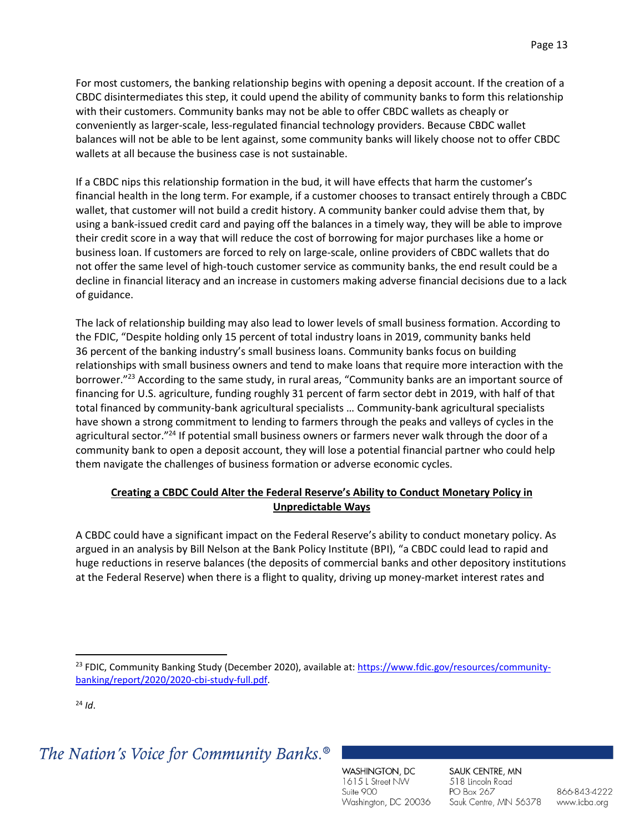For most customers, the banking relationship begins with opening a deposit account. If the creation of a CBDC disintermediates this step, it could upend the ability of community banks to form this relationship with their customers. Community banks may not be able to offer CBDC wallets as cheaply or conveniently as larger-scale, less-regulated financial technology providers. Because CBDC wallet balances will not be able to be lent against, some community banks will likely choose not to offer CBDC wallets at all because the business case is not sustainable.

If a CBDC nips this relationship formation in the bud, it will have effects that harm the customer's financial health in the long term. For example, if a customer chooses to transact entirely through a CBDC wallet, that customer will not build a credit history. A community banker could advise them that, by using a bank-issued credit card and paying off the balances in a timely way, they will be able to improve their credit score in a way that will reduce the cost of borrowing for major purchases like a home or business loan. If customers are forced to rely on large-scale, online providers of CBDC wallets that do not offer the same level of high-touch customer service as community banks, the end result could be a decline in financial literacy and an increase in customers making adverse financial decisions due to a lack of guidance.

The lack of relationship building may also lead to lower levels of small business formation. According to the FDIC, "Despite holding only 15 percent of total industry loans in 2019, community banks held 36 percent of the banking industry's small business loans. Community banks focus on building relationships with small business owners and tend to make loans that require more interaction with the borrower."<sup>23</sup> According to the same study, in rural areas, "Community banks are an important source of financing for U.S. agriculture, funding roughly 31 percent of farm sector debt in 2019, with half of that total financed by community-bank agricultural specialists … Community-bank agricultural specialists have shown a strong commitment to lending to farmers through the peaks and valleys of cycles in the agricultural sector."<sup>24</sup> If potential small business owners or farmers never walk through the door of a community bank to open a deposit account, they will lose a potential financial partner who could help them navigate the challenges of business formation or adverse economic cycles.

## **Creating a CBDC Could Alter the Federal Reserve's Ability to Conduct Monetary Policy in Unpredictable Ways**

A CBDC could have a significant impact on the Federal Reserve's ability to conduct monetary policy. As argued in an analysis by Bill Nelson at the Bank Policy Institute (BPI), "a CBDC could lead to rapid and huge reductions in reserve balances (the deposits of commercial banks and other depository institutions at the Federal Reserve) when there is a flight to quality, driving up money-market interest rates and

 $^{24}$  *Id.* 

## The Nation's Voice for Community Banks.<sup>®</sup>

WASHINGTON, DC 1615 L Street NW Suite 900 Washington, DC 20036 SAUK CENTRE, MN 518 Lincoln Road PO Box 267 Sauk Centre, MN 56378

<sup>&</sup>lt;sup>23</sup> FDIC, Community Banking Study (December 2020), available at: [https://www.fdic.gov/resources/community](https://www.fdic.gov/resources/community-banking/report/2020/2020-cbi-study-full.pdf)[banking/report/2020/2020-cbi-study-full.pdf.](https://www.fdic.gov/resources/community-banking/report/2020/2020-cbi-study-full.pdf)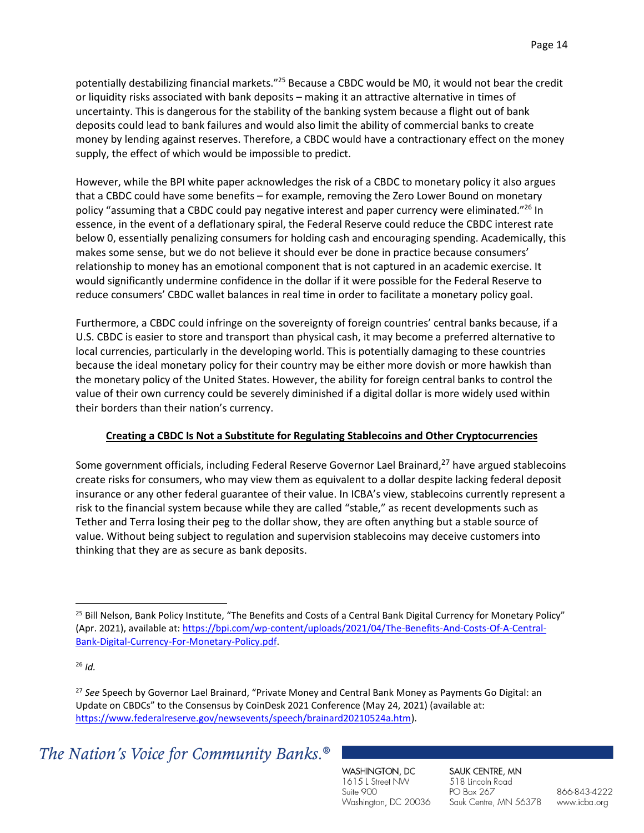potentially destabilizing financial markets."<sup>25</sup> Because a CBDC would be M0, it would not bear the credit or liquidity risks associated with bank deposits – making it an attractive alternative in times of uncertainty. This is dangerous for the stability of the banking system because a flight out of bank deposits could lead to bank failures and would also limit the ability of commercial banks to create money by lending against reserves. Therefore, a CBDC would have a contractionary effect on the money supply, the effect of which would be impossible to predict.

However, while the BPI white paper acknowledges the risk of a CBDC to monetary policy it also argues that a CBDC could have some benefits – for example, removing the Zero Lower Bound on monetary policy "assuming that a CBDC could pay negative interest and paper currency were eliminated."<sup>26</sup> In essence, in the event of a deflationary spiral, the Federal Reserve could reduce the CBDC interest rate below 0, essentially penalizing consumers for holding cash and encouraging spending. Academically, this makes some sense, but we do not believe it should ever be done in practice because consumers' relationship to money has an emotional component that is not captured in an academic exercise. It would significantly undermine confidence in the dollar if it were possible for the Federal Reserve to reduce consumers' CBDC wallet balances in real time in order to facilitate a monetary policy goal.

Furthermore, a CBDC could infringe on the sovereignty of foreign countries' central banks because, if a U.S. CBDC is easier to store and transport than physical cash, it may become a preferred alternative to local currencies, particularly in the developing world. This is potentially damaging to these countries because the ideal monetary policy for their country may be either more dovish or more hawkish than the monetary policy of the United States. However, the ability for foreign central banks to control the value of their own currency could be severely diminished if a digital dollar is more widely used within their borders than their nation's currency.

#### **Creating a CBDC Is Not a Substitute for Regulating Stablecoins and Other Cryptocurrencies**

Some government officials, including Federal Reserve Governor Lael Brainard,<sup>27</sup> have argued stablecoins create risks for consumers, who may view them as equivalent to a dollar despite lacking federal deposit insurance or any other federal guarantee of their value. In ICBA's view, stablecoins currently represent a risk to the financial system because while they are called "stable," as recent developments such as Tether and Terra losing their peg to the dollar show, they are often anything but a stable source of value. Without being subject to regulation and supervision stablecoins may deceive customers into thinking that they are as secure as bank deposits.

<sup>26</sup> *Id.*

<sup>27</sup> *See* Speech by Governor Lael Brainard, "Private Money and Central Bank Money as Payments Go Digital: an Update on CBDCs" to the Consensus by CoinDesk 2021 Conference (May 24, 2021) (available at: [https://www.federalreserve.gov/newsevents/speech/brainard20210524a.htm\)](https://www.federalreserve.gov/newsevents/speech/brainard20210524a.htm).

## The Nation's Voice for Community Banks.<sup>®</sup>

WASHINGTON, DC 1615 L Street NW Suite 900 Washington, DC 20036 SAUK CENTRE, MN 518 Lincoln Road PO Box 267 Sauk Centre, MN 56378

<sup>&</sup>lt;sup>25</sup> Bill Nelson, Bank Policy Institute, "The Benefits and Costs of a Central Bank Digital Currency for Monetary Policy" (Apr. 2021), available at[: https://bpi.com/wp-content/uploads/2021/04/The-Benefits-And-Costs-Of-A-Central-](https://bpi.com/wp-content/uploads/2021/04/The-Benefits-And-Costs-Of-A-Central-Bank-Digital-Currency-For-Monetary-Policy.pdf)[Bank-Digital-Currency-For-Monetary-Policy.pdf.](https://bpi.com/wp-content/uploads/2021/04/The-Benefits-And-Costs-Of-A-Central-Bank-Digital-Currency-For-Monetary-Policy.pdf)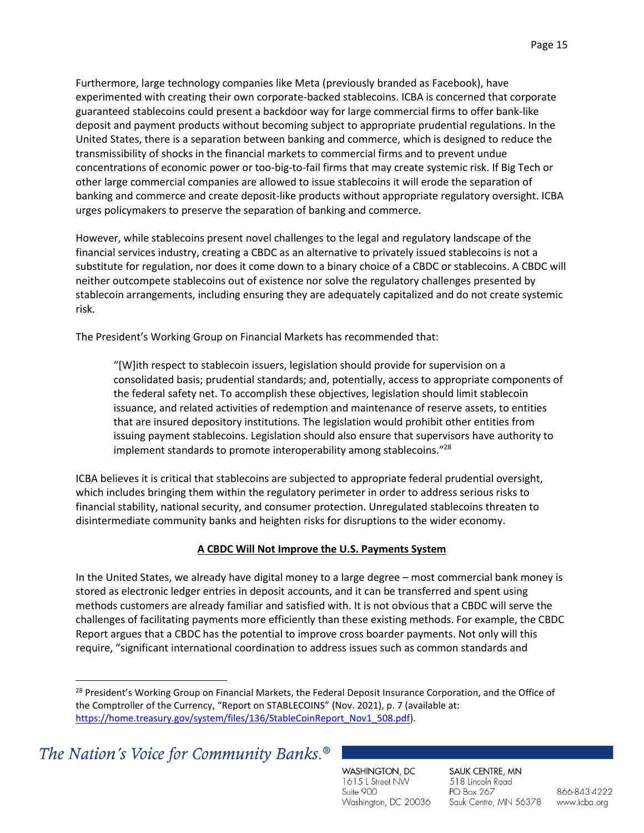Furthermore, large technology companies like Meta (previously branded as Facebook), have experimented with creating their own corporate-backed stablecoins. ICBA is concerned that corporate guaranteed stablecoins could present a backdoor way for large commercial firms to offer bank-like deposit and payment products without becoming subject to appropriate prudential regulations. In the United States, there is a separation between banking and commerce, which is designed to reduce the transmissibility of shocks in the financial markets to commercial firms and to prevent undue concentrations of economic power or too-big-to-fail firms that may create systemic risk. If Big Tech or other large commercial companies are allowed to issue stablecoins it will erode the separation of banking and commerce and create deposit-like products without appropriate regulatory oversight. ICBA urges policymakers to preserve the separation of banking and commerce.

However, while stablecoins present novel challenges to the legal and regulatory landscape of the financial services industry, creating a CBDC as an alternative to privately issued stablecoins is not a substitute for regulation, nor does it come down to a binary choice of a CBDC or stablecoins. A CBDC will neither outcompete stablecoins out of existence nor solve the regulatory challenges presented by stablecoin arrangements, including ensuring they are adequately capitalized and do not create systemic risk.

The President's Working Group on Financial Markets has recommended that:

"[W]ith respect to stablecoin issuers, legislation should provide for supervision on a consolidated basis; prudential standards; and, potentially, access to appropriate components of the federal safety net. To accomplish these objectives, legislation should limit stablecoin issuance, and related activities of redemption and maintenance of reserve assets, to entities that are insured depository institutions. The legislation would prohibit other entities from issuing payment stablecoins. Legislation should also ensure that supervisors have authority to implement standards to promote interoperability among stablecoins."<sup>28</sup>

ICBA believes it is critical that stablecoins are subjected to appropriate federal prudential oversight, which includes bringing them within the regulatory perimeter in order to address serious risks to financial stability, national security, and consumer protection. Unregulated stablecoins threaten to disintermediate community banks and heighten risks for disruptions to the wider economy.

## **A CBDC Will Not Improve the U.S. Payments System**

In the United States, we already have digital money to a large degree – most commercial bank money is stored as electronic ledger entries in deposit accounts, and it can be transferred and spent using methods customers are already familiar and satisfied with. It is not obvious that a CBDC will serve the challenges of facilitating payments more efficiently than these existing methods. For example, the CBDC Report argues that a CBDC has the potential to improve cross boarder payments. Not only will this require, "significant international coordination to address issues such as common standards and

The Nation's Voice for Community Banks.<sup>®</sup>

WASHINGTON, DC 1615 L Street NW Suite 900 Washington, DC 20036 SAUK CENTRE, MN 518 Lincoln Road PO Box 267 Sauk Centre, MN 56378

<sup>&</sup>lt;sup>28</sup> President's Working Group on Financial Markets, the Federal Deposit Insurance Corporation, and the Office of the Comptroller of the Currency, "Report on STABLECOINS" (Nov. 2021), p. 7 (available at: [https://home.treasury.gov/system/files/136/StableCoinReport\\_Nov1\\_508.pdf\)](https://home.treasury.gov/system/files/136/StableCoinReport_Nov1_508.pdf).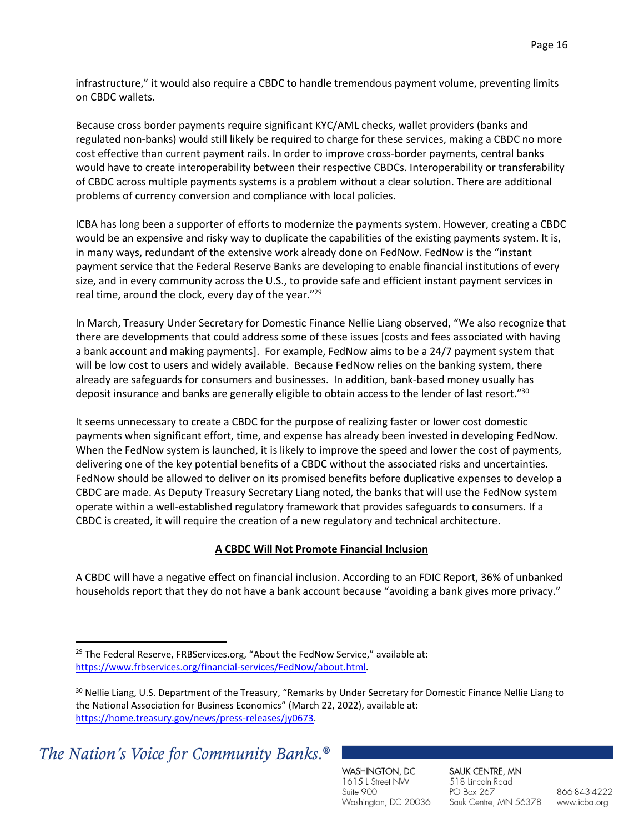infrastructure," it would also require a CBDC to handle tremendous payment volume, preventing limits on CBDC wallets.

Because cross border payments require significant KYC/AML checks, wallet providers (banks and regulated non-banks) would still likely be required to charge for these services, making a CBDC no more cost effective than current payment rails. In order to improve cross-border payments, central banks would have to create interoperability between their respective CBDCs. Interoperability or transferability of CBDC across multiple payments systems is a problem without a clear solution. There are additional problems of currency conversion and compliance with local policies.

ICBA has long been a supporter of efforts to modernize the payments system. However, creating a CBDC would be an expensive and risky way to duplicate the capabilities of the existing payments system. It is, in many ways, redundant of the extensive work already done on FedNow. FedNow is the "instant payment service that the Federal Reserve Banks are developing to enable financial institutions of every size, and in every community across the U.S., to provide safe and efficient instant payment services in real time, around the clock, every day of the year."<sup>29</sup>

In March, Treasury Under Secretary for Domestic Finance Nellie Liang observed, "We also recognize that there are developments that could address some of these issues [costs and fees associated with having a bank account and making payments]. For example, FedNow aims to be a 24/7 payment system that will be low cost to users and widely available. Because FedNow relies on the banking system, there already are safeguards for consumers and businesses. In addition, bank-based money usually has deposit insurance and banks are generally eligible to obtain access to the lender of last resort."<sup>30</sup>

It seems unnecessary to create a CBDC for the purpose of realizing faster or lower cost domestic payments when significant effort, time, and expense has already been invested in developing FedNow. When the FedNow system is launched, it is likely to improve the speed and lower the cost of payments, delivering one of the key potential benefits of a CBDC without the associated risks and uncertainties. FedNow should be allowed to deliver on its promised benefits before duplicative expenses to develop a CBDC are made. As Deputy Treasury Secretary Liang noted, the banks that will use the FedNow system operate within a well-established regulatory framework that provides safeguards to consumers. If a CBDC is created, it will require the creation of a new regulatory and technical architecture.

## **A CBDC Will Not Promote Financial Inclusion**

A CBDC will have a negative effect on financial inclusion. According to an FDIC Report, 36% of unbanked households report that they do not have a bank account because "avoiding a bank gives more privacy."

WASHINGTON, DC 1615 L Street NW Suite 900 Washington, DC 20036 SAUK CENTRE, MN 518 Lincoln Road PO Box 267 Sauk Centre, MN 56378

 $29$  The Federal Reserve, FRBServices.org, "About the FedNow Service," available at: [https://www.frbservices.org/financial-services/FedNow/about.html.](https://www.frbservices.org/financial-services/fednow/about.html)

<sup>&</sup>lt;sup>30</sup> Nellie Liang, U.S. Department of the Treasury, "Remarks by Under Secretary for Domestic Finance Nellie Liang to the National Association for Business Economics" (March 22, 2022), available at: [https://home.treasury.gov/news/press-releases/jy0673.](https://home.treasury.gov/news/press-releases/jy0673)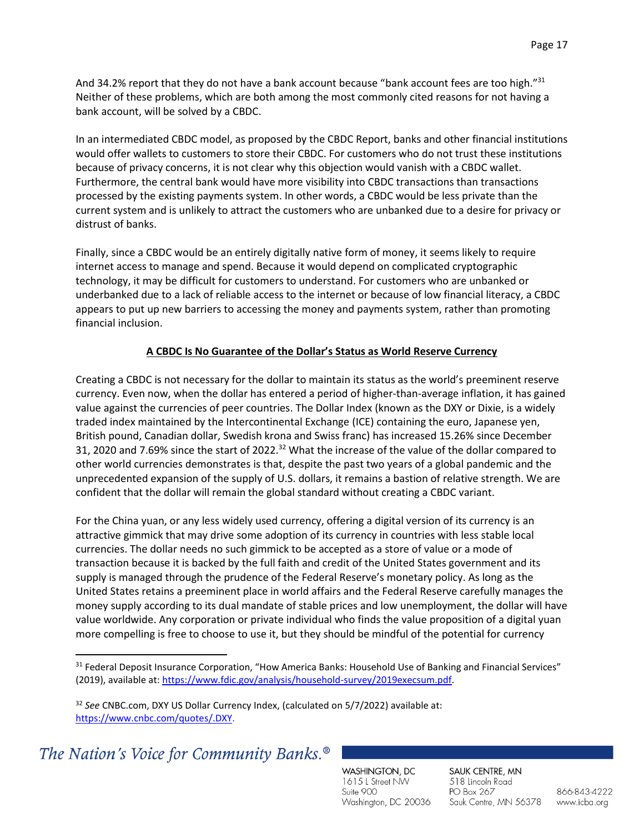And 34.2% report that they do not have a bank account because "bank account fees are too high."<sup>31</sup> Neither of these problems, which are both among the most commonly cited reasons for not having a bank account, will be solved by a CBDC.

In an intermediated CBDC model, as proposed by the CBDC Report, banks and other financial institutions would offer wallets to customers to store their CBDC. For customers who do not trust these institutions because of privacy concerns, it is not clear why this objection would vanish with a CBDC wallet. Furthermore, the central bank would have more visibility into CBDC transactions than transactions processed by the existing payments system. In other words, a CBDC would be less private than the current system and is unlikely to attract the customers who are unbanked due to a desire for privacy or distrust of banks.

Finally, since a CBDC would be an entirely digitally native form of money, it seems likely to require internet access to manage and spend. Because it would depend on complicated cryptographic technology, it may be difficult for customers to understand. For customers who are unbanked or underbanked due to a lack of reliable access to the internet or because of low financial literacy, a CBDC appears to put up new barriers to accessing the money and payments system, rather than promoting financial inclusion.

## **A CBDC Is No Guarantee of the Dollar's Status as World Reserve Currency**

Creating a CBDC is not necessary for the dollar to maintain its status as the world's preeminent reserve currency. Even now, when the dollar has entered a period of higher-than-average inflation, it has gained value against the currencies of peer countries. The Dollar Index (known as the DXY or Dixie, is a widely traded index maintained by the Intercontinental Exchange (ICE) containing the euro, Japanese yen, British pound, Canadian dollar, Swedish krona and Swiss franc) has increased 15.26% since December 31, 2020 and 7.69% since the start of 2022.<sup>32</sup> What the increase of the value of the dollar compared to other world currencies demonstrates is that, despite the past two years of a global pandemic and the unprecedented expansion of the supply of U.S. dollars, it remains a bastion of relative strength. We are confident that the dollar will remain the global standard without creating a CBDC variant.

For the China yuan, or any less widely used currency, offering a digital version of its currency is an attractive gimmick that may drive some adoption of its currency in countries with less stable local currencies. The dollar needs no such gimmick to be accepted as a store of value or a mode of transaction because it is backed by the full faith and credit of the United States government and its supply is managed through the prudence of the Federal Reserve's monetary policy. As long as the United States retains a preeminent place in world affairs and the Federal Reserve carefully manages the money supply according to its dual mandate of stable prices and low unemployment, the dollar will have value worldwide. Any corporation or private individual who finds the value proposition of a digital yuan more compelling is free to choose to use it, but they should be mindful of the potential for currency

WASHINGTON, DC 1615 L Street NW Suite 900 Washington, DC 20036 SAUK CENTRE, MN 518 Lincoln Road PO Box 267 Sauk Centre, MN 56378

<sup>&</sup>lt;sup>31</sup> Federal Deposit Insurance Corporation, "How America Banks: Household Use of Banking and Financial Services" (2019), available at[: https://www.fdic.gov/analysis/household-survey/2019execsum.pdf.](https://www.fdic.gov/analysis/household-survey/2019execsum.pdf)

<sup>32</sup> *See* CNBC.com, DXY US Dollar Currency Index, (calculated on 5/7/2022) available at: [https://www.cnbc.com/quotes/.DXY.](https://www.cnbc.com/quotes/.DXY)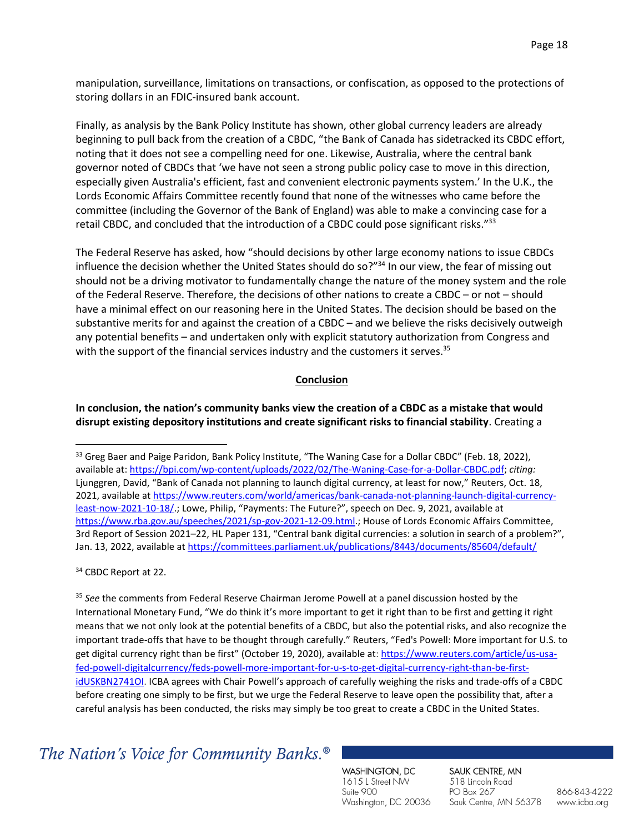manipulation, surveillance, limitations on transactions, or confiscation, as opposed to the protections of storing dollars in an FDIC-insured bank account.

Finally, as analysis by the Bank Policy Institute has shown, other global currency leaders are already beginning to pull back from the creation of a CBDC, "the Bank of Canada has sidetracked its CBDC effort, noting that it does not see a compelling need for one. Likewise, Australia, where the central bank governor noted of CBDCs that 'we have not seen a strong public policy case to move in this direction, especially given Australia's efficient, fast and convenient electronic payments system.' In the U.K., the Lords Economic Affairs Committee recently found that none of the witnesses who came before the committee (including the Governor of the Bank of England) was able to make a convincing case for a retail CBDC, and concluded that the introduction of a CBDC could pose significant risks."<sup>33</sup>

The Federal Reserve has asked, how "should decisions by other large economy nations to issue CBDCs influence the decision whether the United States should do so?"<sup>34</sup> In our view, the fear of missing out should not be a driving motivator to fundamentally change the nature of the money system and the role of the Federal Reserve. Therefore, the decisions of other nations to create a CBDC – or not – should have a minimal effect on our reasoning here in the United States. The decision should be based on the substantive merits for and against the creation of a CBDC – and we believe the risks decisively outweigh any potential benefits – and undertaken only with explicit statutory authorization from Congress and with the support of the financial services industry and the customers it serves.<sup>35</sup>

#### **Conclusion**

**In conclusion, the nation's community banks view the creation of a CBDC as a mistake that would disrupt existing depository institutions and create significant risks to financial stability**. Creating a

<sup>34</sup> CBDC Report at 22.

<sup>35</sup> *See* the comments from Federal Reserve Chairman Jerome Powell at a panel discussion hosted by the International Monetary Fund, "We do think it's more important to get it right than to be first and getting it right means that we not only look at the potential benefits of a CBDC, but also the potential risks, and also recognize the important trade-offs that have to be thought through carefully." Reuters, "Fed's Powell: More important for U.S. to get digital currency right than be first" (October 19, 2020), available at[: https://www.reuters.com/article/us-usa](https://www.reuters.com/article/us-usa-fed-powell-digitalcurrency/feds-powell-more-important-for-u-s-to-get-digital-currency-right-than-be-first-idUSKBN2741OI)[fed-powell-digitalcurrency/feds-powell-more-important-for-u-s-to-get-digital-currency-right-than-be-first](https://www.reuters.com/article/us-usa-fed-powell-digitalcurrency/feds-powell-more-important-for-u-s-to-get-digital-currency-right-than-be-first-idUSKBN2741OI)[idUSKBN2741OI.](https://www.reuters.com/article/us-usa-fed-powell-digitalcurrency/feds-powell-more-important-for-u-s-to-get-digital-currency-right-than-be-first-idUSKBN2741OI) ICBA agrees with Chair Powell's approach of carefully weighing the risks and trade-offs of a CBDC before creating one simply to be first, but we urge the Federal Reserve to leave open the possibility that, after a careful analysis has been conducted, the risks may simply be too great to create a CBDC in the United States.

## The Nation's Voice for Community Banks.<sup>®</sup>

WASHINGTON, DC 1615 L Street NW Suite 900 Washington, DC 20036 SAUK CENTRE, MN 518 Lincoln Road PO Box 267 Sauk Centre, MN 56378

<sup>&</sup>lt;sup>33</sup> Greg Baer and Paige Paridon, Bank Policy Institute, "The Waning Case for a Dollar CBDC" (Feb. 18, 2022), available at[: https://bpi.com/wp-content/uploads/2022/02/The-Waning-Case-for-a-Dollar-CBDC.pdf;](https://bpi.com/wp-content/uploads/2022/02/The-Waning-Case-for-a-Dollar-CBDC.pdf) *citing:*  Ljunggren, David, "Bank of Canada not planning to launch digital currency, at least for now," Reuters, Oct. 18, 2021, available a[t https://www.reuters.com/world/americas/bank-canada-not-planning-launch-digital-currency](https://www.reuters.com/world/americas/bank-canada-not-planning-launch-digital-currency-least-now-2021-10-18/)[least-now-2021-10-18/.](https://www.reuters.com/world/americas/bank-canada-not-planning-launch-digital-currency-least-now-2021-10-18/); Lowe, Philip, "Payments: The Future?", speech on Dec. 9, 2021, available at [https://www.rba.gov.au/speeches/2021/sp-gov-2021-12-09.html.](https://www.rba.gov.au/speeches/2021/sp-gov-2021-12-09.html); House of Lords Economic Affairs Committee, 3rd Report of Session 2021–22, HL Paper 131, "Central bank digital currencies: a solution in search of a problem?", Jan. 13, 2022, available a[t https://committees.parliament.uk/publications/8443/documents/85604/default/](https://committees.parliament.uk/publications/8443/documents/85604/default/)